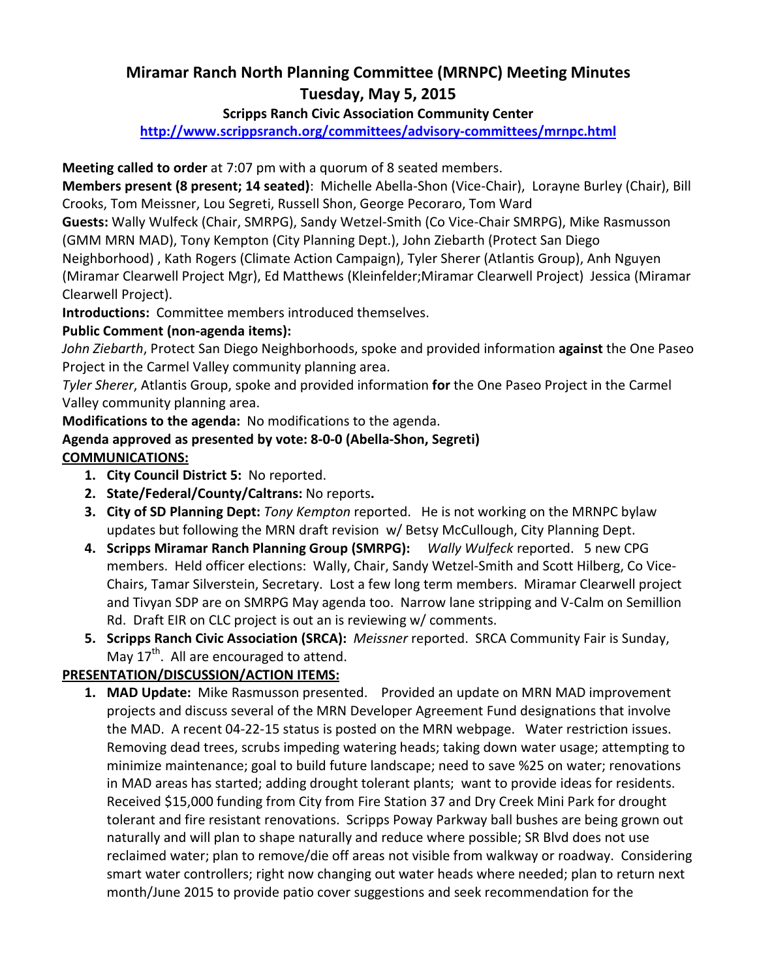# Miramar Ranch North Planning Committee (MRNPC) Meeting Minutes Tuesday, May 5, 2015

#### Scripps Ranch Civic Association Community Center

http://www.scrippsranch.org/committees/advisory-committees/mrnpc.html

Meeting called to order at 7:07 pm with a quorum of 8 seated members.

Members present (8 present; 14 seated): Michelle Abella-Shon (Vice-Chair), Lorayne Burley (Chair), Bill Crooks, Tom Meissner, Lou Segreti, Russell Shon, George Pecoraro, Tom Ward

Guests: Wally Wulfeck (Chair, SMRPG), Sandy Wetzel-Smith (Co Vice-Chair SMRPG), Mike Rasmusson (GMM MRN MAD), Tony Kempton (City Planning Dept.), John Ziebarth (Protect San Diego

Neighborhood) , Kath Rogers (Climate Action Campaign), Tyler Sherer (Atlantis Group), Anh Nguyen (Miramar Clearwell Project Mgr), Ed Matthews (Kleinfelder;Miramar Clearwell Project) Jessica (Miramar Clearwell Project).

Introductions: Committee members introduced themselves.

### Public Comment (non-agenda items):

John Ziebarth, Protect San Diego Neighborhoods, spoke and provided information against the One Paseo Project in the Carmel Valley community planning area.

Tyler Sherer, Atlantis Group, spoke and provided information for the One Paseo Project in the Carmel Valley community planning area.

Modifications to the agenda: No modifications to the agenda.

### Agenda approved as presented by vote: 8-0-0 (Abella-Shon, Segreti)

### COMMUNICATIONS:

- 1. City Council District 5: No reported.
- 2. State/Federal/County/Caltrans: No reports.
- 3. City of SD Planning Dept: Tony Kempton reported. He is not working on the MRNPC bylaw updates but following the MRN draft revision w/ Betsy McCullough, City Planning Dept.
- 4. Scripps Miramar Ranch Planning Group (SMRPG): Wally Wulfeck reported. 5 new CPG members. Held officer elections: Wally, Chair, Sandy Wetzel-Smith and Scott Hilberg, Co Vice-Chairs, Tamar Silverstein, Secretary. Lost a few long term members. Miramar Clearwell project and Tivyan SDP are on SMRPG May agenda too. Narrow lane stripping and V-Calm on Semillion Rd. Draft EIR on CLC project is out an is reviewing w/ comments.
- 5. Scripps Ranch Civic Association (SRCA): Meissner reported. SRCA Community Fair is Sunday, May  $17<sup>th</sup>$ . All are encouraged to attend.

### PRESENTATION/DISCUSSION/ACTION ITEMS:

1. MAD Update: Mike Rasmusson presented. Provided an update on MRN MAD improvement projects and discuss several of the MRN Developer Agreement Fund designations that involve the MAD. A recent 04-22-15 status is posted on the MRN webpage. Water restriction issues. Removing dead trees, scrubs impeding watering heads; taking down water usage; attempting to minimize maintenance; goal to build future landscape; need to save %25 on water; renovations in MAD areas has started; adding drought tolerant plants; want to provide ideas for residents. Received \$15,000 funding from City from Fire Station 37 and Dry Creek Mini Park for drought tolerant and fire resistant renovations. Scripps Poway Parkway ball bushes are being grown out naturally and will plan to shape naturally and reduce where possible; SR Blvd does not use reclaimed water; plan to remove/die off areas not visible from walkway or roadway. Considering smart water controllers; right now changing out water heads where needed; plan to return next month/June 2015 to provide patio cover suggestions and seek recommendation for the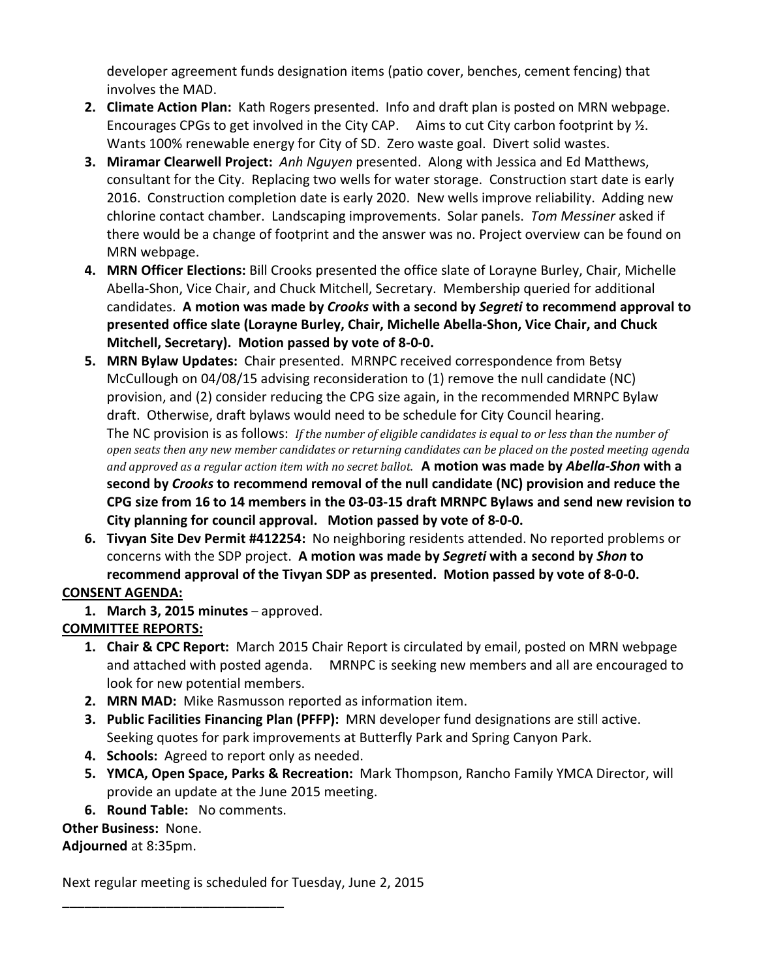developer agreement funds designation items (patio cover, benches, cement fencing) that involves the MAD.

- 2. Climate Action Plan: Kath Rogers presented. Info and draft plan is posted on MRN webpage. Encourages CPGs to get involved in the City CAP. Aims to cut City carbon footprint by ½. Wants 100% renewable energy for City of SD. Zero waste goal. Divert solid wastes.
- 3. Miramar Clearwell Project: Anh Nguyen presented. Along with Jessica and Ed Matthews, consultant for the City. Replacing two wells for water storage. Construction start date is early 2016. Construction completion date is early 2020. New wells improve reliability. Adding new chlorine contact chamber. Landscaping improvements. Solar panels. Tom Messiner asked if there would be a change of footprint and the answer was no. Project overview can be found on MRN webpage.
- 4. MRN Officer Elections: Bill Crooks presented the office slate of Lorayne Burley, Chair, Michelle Abella-Shon, Vice Chair, and Chuck Mitchell, Secretary. Membership queried for additional candidates. A motion was made by Crooks with a second by Segreti to recommend approval to presented office slate (Lorayne Burley, Chair, Michelle Abella-Shon, Vice Chair, and Chuck Mitchell, Secretary). Motion passed by vote of 8-0-0.
- 5. MRN Bylaw Updates: Chair presented. MRNPC received correspondence from Betsy McCullough on 04/08/15 advising reconsideration to (1) remove the null candidate (NC) provision, and (2) consider reducing the CPG size again, in the recommended MRNPC Bylaw draft. Otherwise, draft bylaws would need to be schedule for City Council hearing. The NC provision is as follows: If the number of eligible candidates is equal to or less than the number of open seats then any new member candidates or returning candidates can be placed on the posted meeting agenda and approved as a regular action item with no secret ballot. A motion was made by Abella-Shon with a second by Crooks to recommend removal of the null candidate (NC) provision and reduce the CPG size from 16 to 14 members in the 03-03-15 draft MRNPC Bylaws and send new revision to City planning for council approval. Motion passed by vote of 8-0-0.
- 6. Tivyan Site Dev Permit #412254: No neighboring residents attended. No reported problems or concerns with the SDP project. A motion was made by Segreti with a second by Shon to recommend approval of the Tivyan SDP as presented. Motion passed by vote of 8-0-0.

### CONSENT AGENDA:

1. March 3, 2015 minutes - approved.

## COMMITTEE REPORTS:

- **1. Chair & CPC Report:** March 2015 Chair Report is circulated by email, posted on MRN webpage and attached with posted agenda. MRNPC is seeking new members and all are encouraged to look for new potential members.
- 2. MRN MAD: Mike Rasmusson reported as information item.
- 3. Public Facilities Financing Plan (PFFP): MRN developer fund designations are still active. Seeking quotes for park improvements at Butterfly Park and Spring Canyon Park.
- 4. Schools: Agreed to report only as needed.
- 5. YMCA, Open Space, Parks & Recreation: Mark Thompson, Rancho Family YMCA Director, will provide an update at the June 2015 meeting.
- 6. Round Table: No comments.

\_\_\_\_\_\_\_\_\_\_\_\_\_\_\_\_\_\_\_\_\_\_\_\_\_\_\_\_\_\_

### Other Business: None.

Adjourned at 8:35pm.

Next regular meeting is scheduled for Tuesday, June 2, 2015